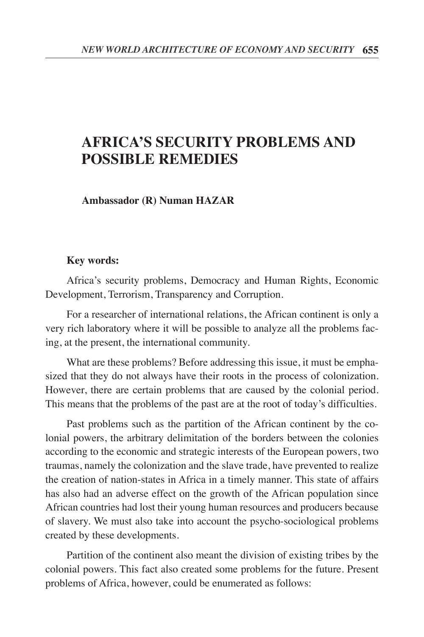## **AFRICA'S SECURITY PROBLEMS AND POSSIBLE REMEDIES**

**Ambassador (R) Numan HAZAR**

## **Key words:**

Africa's security problems, Democracy and Human Rights, Economic Development, Terrorism, Transparency and Corruption.

For a researcher of international relations, the African continent is only a very rich laboratory where it will be possible to analyze all the problems facing, at the present, the international community.

What are these problems? Before addressing this issue, it must be emphasized that they do not always have their roots in the process of colonization. However, there are certain problems that are caused by the colonial period. This means that the problems of the past are at the root of today's difficulties.

Past problems such as the partition of the African continent by the colonial powers, the arbitrary delimitation of the borders between the colonies according to the economic and strategic interests of the European powers, two traumas, namely the colonization and the slave trade, have prevented to realize the creation of nation-states in Africa in a timely manner. This state of affairs has also had an adverse effect on the growth of the African population since African countries had lost their young human resources and producers because of slavery. We must also take into account the psycho-sociological problems created by these developments.

Partition of the continent also meant the division of existing tribes by the colonial powers. This fact also created some problems for the future. Present problems of Africa, however, could be enumerated as follows: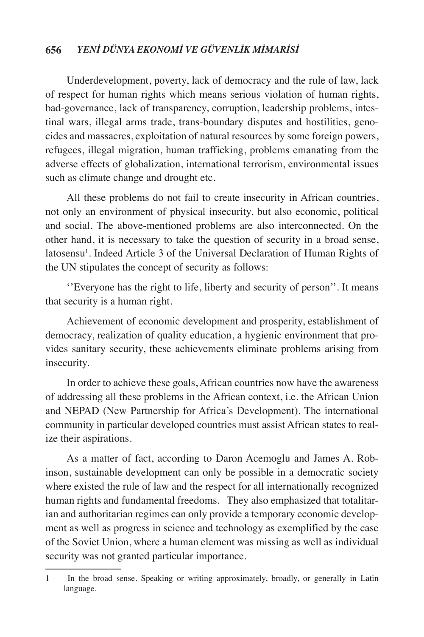Underdevelopment, poverty, lack of democracy and the rule of law, lack of respect for human rights which means serious violation of human rights, bad-governance, lack of transparency, corruption, leadership problems, intestinal wars, illegal arms trade, trans-boundary disputes and hostilities, genocides and massacres, exploitation of natural resources by some foreign powers, refugees, illegal migration, human trafficking, problems emanating from the adverse effects of globalization, international terrorism, environmental issues such as climate change and drought etc.

All these problems do not fail to create insecurity in African countries, not only an environment of physical insecurity, but also economic, political and social. The above-mentioned problems are also interconnected. On the other hand, it is necessary to take the question of security in a broad sense, latosensu<sup>1</sup>. Indeed Article 3 of the Universal Declaration of Human Rights of the UN stipulates the concept of security as follows:

''Everyone has the right to life, liberty and security of person''. It means that security is a human right.

Achievement of economic development and prosperity, establishment of democracy, realization of quality education, a hygienic environment that provides sanitary security, these achievements eliminate problems arising from insecurity.

In order to achieve these goals, African countries now have the awareness of addressing all these problems in the African context, i.e. the African Union and NEPAD (New Partnership for Africa's Development). The international community in particular developed countries must assist African states to realize their aspirations.

As a matter of fact, according to Daron Acemoglu and James A. Robinson, sustainable development can only be possible in a democratic society where existed the rule of law and the respect for all internationally recognized human rights and fundamental freedoms. They also emphasized that totalitarian and authoritarian regimes can only provide a temporary economic development as well as progress in science and technology as exemplified by the case of the Soviet Union, where a human element was missing as well as individual security was not granted particular importance.

<sup>1</sup> In the broad sense. Speaking or writing approximately, broadly, or generally in Latin language.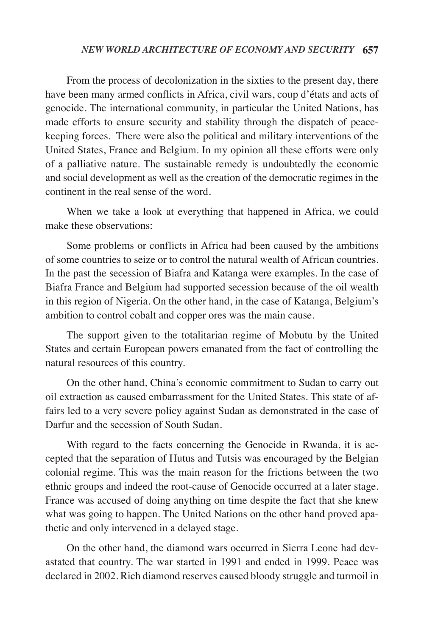From the process of decolonization in the sixties to the present day, there have been many armed conflicts in Africa, civil wars, coup d'états and acts of genocide. The international community, in particular the United Nations, has made efforts to ensure security and stability through the dispatch of peacekeeping forces. There were also the political and military interventions of the United States, France and Belgium. In my opinion all these efforts were only of a palliative nature. The sustainable remedy is undoubtedly the economic and social development as well as the creation of the democratic regimes in the continent in the real sense of the word.

When we take a look at everything that happened in Africa, we could make these observations:

Some problems or conflicts in Africa had been caused by the ambitions of some countries to seize or to control the natural wealth of African countries. In the past the secession of Biafra and Katanga were examples. In the case of Biafra France and Belgium had supported secession because of the oil wealth in this region of Nigeria. On the other hand, in the case of Katanga, Belgium's ambition to control cobalt and copper ores was the main cause.

The support given to the totalitarian regime of Mobutu by the United States and certain European powers emanated from the fact of controlling the natural resources of this country.

On the other hand, China's economic commitment to Sudan to carry out oil extraction as caused embarrassment for the United States. This state of affairs led to a very severe policy against Sudan as demonstrated in the case of Darfur and the secession of South Sudan.

With regard to the facts concerning the Genocide in Rwanda, it is accepted that the separation of Hutus and Tutsis was encouraged by the Belgian colonial regime. This was the main reason for the frictions between the two ethnic groups and indeed the root-cause of Genocide occurred at a later stage. France was accused of doing anything on time despite the fact that she knew what was going to happen. The United Nations on the other hand proved apathetic and only intervened in a delayed stage.

On the other hand, the diamond wars occurred in Sierra Leone had devastated that country. The war started in 1991 and ended in 1999. Peace was declared in 2002. Rich diamond reserves caused bloody struggle and turmoil in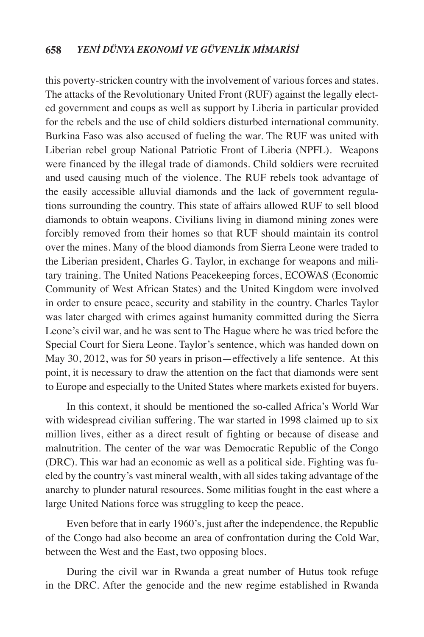this poverty-stricken country with the involvement of various forces and states. The attacks of the Revolutionary United Front (RUF) against the legally elected government and coups as well as support by Liberia in particular provided for the rebels and the use of child soldiers disturbed international community. Burkina Faso was also accused of fueling the war. The RUF was united with Liberian rebel group National Patriotic Front of Liberia (NPFL). Weapons were financed by the illegal trade of diamonds. Child soldiers were recruited and used causing much of the violence. The RUF rebels took advantage of the easily accessible alluvial diamonds and the lack of government regulations surrounding the country. This state of affairs allowed RUF to sell blood diamonds to obtain weapons. Civilians living in diamond mining zones were forcibly removed from their homes so that RUF should maintain its control over the mines. Many of the blood diamonds from Sierra Leone were traded to the Liberian president, Charles G. Taylor, in exchange for weapons and military training. The United Nations Peacekeeping forces, ECOWAS (Economic Community of West African States) and the United Kingdom were involved in order to ensure peace, security and stability in the country. Charles Taylor was later charged with crimes against humanity committed during the Sierra Leone's civil war, and he was sent to The Hague where he was tried before the Special Court for Siera Leone. Taylor's sentence, which was handed down on May 30, 2012, was for 50 years in prison—effectively a life sentence. At this point, it is necessary to draw the attention on the fact that diamonds were sent to Europe and especially to the United States where markets existed for buyers.

In this context, it should be mentioned the so-called Africa's World War with widespread civilian suffering. The war started in 1998 claimed up to six million lives, either as a direct result of fighting or because of disease and malnutrition. The center of the war was Democratic Republic of the Congo (DRC). This war had an economic as well as a political side. Fighting was fueled by the country's vast mineral wealth, with all sides taking advantage of the anarchy to plunder natural resources. Some militias fought in the east where a large United Nations force was struggling to keep the peace.

Even before that in early 1960's, just after the independence, the Republic of the Congo had also become an area of confrontation during the Cold War, between the West and the East, two opposing blocs.

During the civil war in Rwanda a great number of Hutus took refuge in the DRC. After the genocide and the new regime established in Rwanda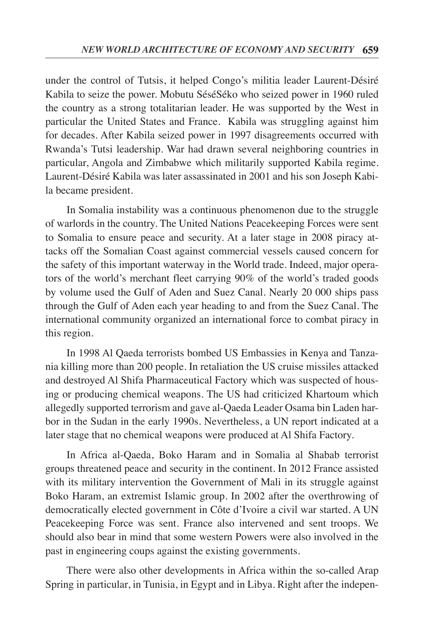under the control of Tutsis, it helped Congo's militia leader Laurent-Désiré Kabila to seize the power. Mobutu SéséSéko who seized power in 1960 ruled the country as a strong totalitarian leader. He was supported by the West in particular the United States and France. Kabila was struggling against him for decades. After Kabila seized power in 1997 disagreements occurred with Rwanda's Tutsi leadership. War had drawn several neighboring countries in particular, Angola and Zimbabwe which militarily supported Kabila regime. Laurent-Désiré Kabila was later assassinated in 2001 and his son Joseph Kabila became president.

In Somalia instability was a continuous phenomenon due to the struggle of warlords in the country. The United Nations Peacekeeping Forces were sent to Somalia to ensure peace and security. At a later stage in 2008 piracy attacks off the Somalian Coast against commercial vessels caused concern for the safety of this important waterway in the World trade. Indeed, major operators of the world's merchant fleet carrying 90% of the world's traded goods by volume used the Gulf of Aden and Suez Canal. Nearly 20 000 ships pass through the Gulf of Aden each year heading to and from the Suez Canal. The international community organized an international force to combat piracy in this region.

In 1998 Al Qaeda terrorists bombed US Embassies in Kenya and Tanzania killing more than 200 people. In retaliation the US cruise missiles attacked and destroyed Al Shifa Pharmaceutical Factory which was suspected of housing or producing chemical weapons. The US had criticized Khartoum which allegedly supported terrorism and gave al-Qaeda Leader Osama bin Laden harbor in the Sudan in the early 1990s. Nevertheless, a UN report indicated at a later stage that no chemical weapons were produced at Al Shifa Factory.

In Africa al-Qaeda, Boko Haram and in Somalia al Shabab terrorist groups threatened peace and security in the continent. In 2012 France assisted with its military intervention the Government of Mali in its struggle against Boko Haram, an extremist Islamic group. In 2002 after the overthrowing of democratically elected government in Côte d'Ivoire a civil war started. A UN Peacekeeping Force was sent. France also intervened and sent troops. We should also bear in mind that some western Powers were also involved in the past in engineering coups against the existing governments.

There were also other developments in Africa within the so-called Arap Spring in particular, in Tunisia, in Egypt and in Libya. Right after the indepen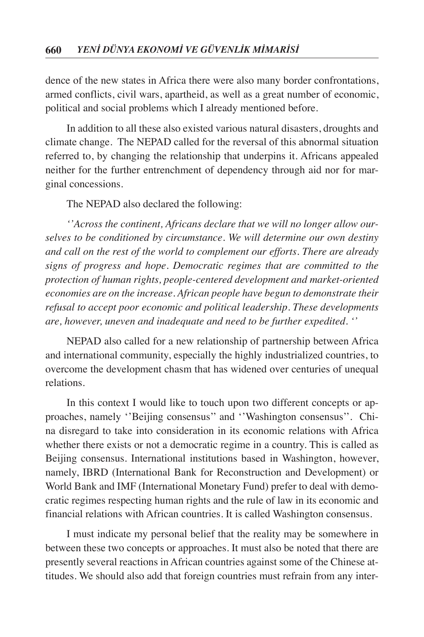dence of the new states in Africa there were also many border confrontations, armed conflicts, civil wars, apartheid, as well as a great number of economic, political and social problems which I already mentioned before.

In addition to all these also existed various natural disasters, droughts and climate change. The NEPAD called for the reversal of this abnormal situation referred to, by changing the relationship that underpins it. Africans appealed neither for the further entrenchment of dependency through aid nor for marginal concessions.

The NEPAD also declared the following:

*''Across the continent, Africans declare that we will no longer allow ourselves to be conditioned by circumstance. We will determine our own destiny and call on the rest of the world to complement our efforts. There are already signs of progress and hope. Democratic regimes that are committed to the protection of human rights, people-centered development and market-oriented economies are on the increase. African people have begun to demonstrate their refusal to accept poor economic and political leadership. These developments are, however, uneven and inadequate and need to be further expedited. ''*

NEPAD also called for a new relationship of partnership between Africa and international community, especially the highly industrialized countries, to overcome the development chasm that has widened over centuries of unequal relations.

In this context I would like to touch upon two different concepts or approaches, namely ''Beijing consensus'' and ''Washington consensus''. China disregard to take into consideration in its economic relations with Africa whether there exists or not a democratic regime in a country. This is called as Beijing consensus. International institutions based in Washington, however, namely, IBRD (International Bank for Reconstruction and Development) or World Bank and IMF (International Monetary Fund) prefer to deal with democratic regimes respecting human rights and the rule of law in its economic and financial relations with African countries. It is called Washington consensus.

I must indicate my personal belief that the reality may be somewhere in between these two concepts or approaches. It must also be noted that there are presently several reactions in African countries against some of the Chinese attitudes. We should also add that foreign countries must refrain from any inter